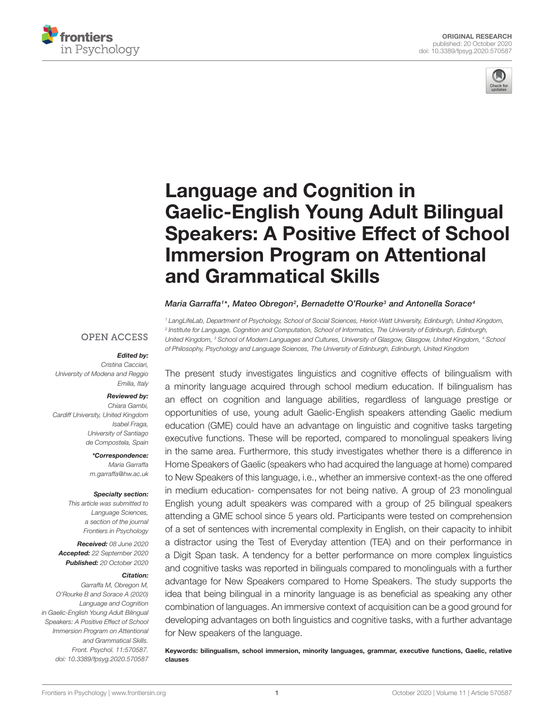



# Language and Cognition in Gaelic-English Young Adult Bilingual [Speakers: A Positive Effect of School](https://www.frontiersin.org/articles/10.3389/fpsyg.2020.570587/full) Immersion Program on Attentional and Grammatical Skills

#### Maria Garraffa1\*, Mateo Obregon<sup>2</sup>, Bernadette O'Rourke<sup>3</sup> and Antonella Sorace<sup>4</sup>

<sup>1</sup> LangLifeLab, Department of Psychology, School of Social Sciences, Heriot-Watt University, Edinburgh, United Kingdom, 2 Institute for Language, Cognition and Computation, School of Informatics, The University of Edinburgh, Edinburgh, United Kingdom, <sup>3</sup> School of Modern Languages and Cultures, University of Glasgow, Glasgow, United Kingdom, <sup>4</sup> School of Philosophy, Psychology and Language Sciences, The University of Edinburgh, Edinburgh, United Kingdom

**OPEN ACCESS** 

#### Edited by:

Cristina Cacciari, University of Modena and Reggio Emilia, Italy

#### Reviewed by:

Chiara Gambi, Cardiff University, United Kingdom Isabel Fraga, University of Santiago de Compostela, Spain

> \*Correspondence: Maria Garraffa m.garraffa@hw.ac.uk

#### Specialty section:

This article was submitted to Language Sciences, a section of the journal Frontiers in Psychology

Received: 08 June 2020 Accepted: 22 September 2020 Published: 20 October 2020

#### Citation:

Garraffa M, Obregon M, O'Rourke B and Sorace A (2020) Language and Cognition in Gaelic-English Young Adult Bilingual Speakers: A Positive Effect of School Immersion Program on Attentional and Grammatical Skills. Front. Psychol. 11:570587. doi: [10.3389/fpsyg.2020.570587](https://doi.org/10.3389/fpsyg.2020.570587)

The present study investigates linguistics and cognitive effects of bilingualism with a minority language acquired through school medium education. If bilingualism has an effect on cognition and language abilities, regardless of language prestige or opportunities of use, young adult Gaelic-English speakers attending Gaelic medium education (GME) could have an advantage on linguistic and cognitive tasks targeting executive functions. These will be reported, compared to monolingual speakers living in the same area. Furthermore, this study investigates whether there is a difference in Home Speakers of Gaelic (speakers who had acquired the language at home) compared to New Speakers of this language, i.e., whether an immersive context-as the one offered in medium education- compensates for not being native. A group of 23 monolingual English young adult speakers was compared with a group of 25 bilingual speakers attending a GME school since 5 years old. Participants were tested on comprehension of a set of sentences with incremental complexity in English, on their capacity to inhibit a distractor using the Test of Everyday attention (TEA) and on their performance in a Digit Span task. A tendency for a better performance on more complex linguistics and cognitive tasks was reported in bilinguals compared to monolinguals with a further advantage for New Speakers compared to Home Speakers. The study supports the idea that being bilingual in a minority language is as beneficial as speaking any other combination of languages. An immersive context of acquisition can be a good ground for developing advantages on both linguistics and cognitive tasks, with a further advantage for New speakers of the language.

Keywords: bilingualism, school immersion, minority languages, grammar, executive functions, Gaelic, relative clauses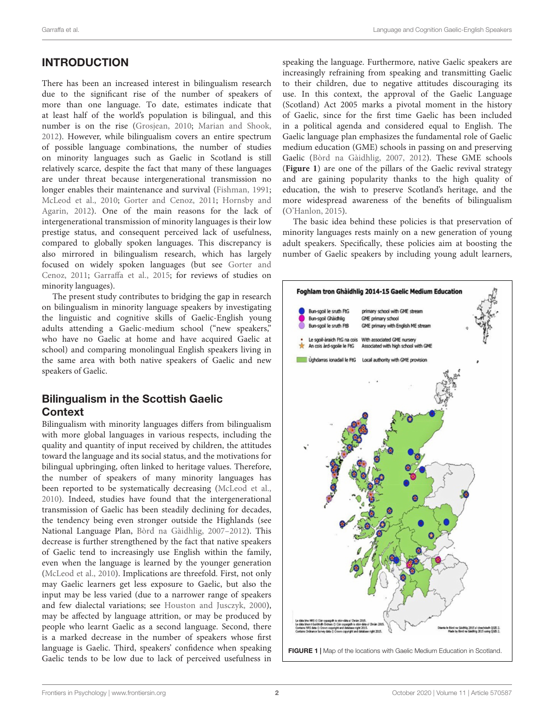# INTRODUCTION

There has been an increased interest in bilingualism research due to the significant rise of the number of speakers of more than one language. To date, estimates indicate that at least half of the world's population is bilingual, and this number is on the rise [\(Grosjean,](#page-10-0) [2010;](#page-10-0) [Marian and Shook,](#page-11-0) [2012\)](#page-11-0). However, while bilingualism covers an entire spectrum of possible language combinations, the number of studies on minority languages such as Gaelic in Scotland is still relatively scarce, despite the fact that many of these languages are under threat because intergenerational transmission no longer enables their maintenance and survival [\(Fishman,](#page-10-1) [1991;](#page-10-1) [McLeod et al.,](#page-11-1) [2010;](#page-11-1) [Gorter and Cenoz,](#page-10-2) [2011;](#page-10-2) [Hornsby and](#page-10-3) [Agarin,](#page-10-3) [2012\)](#page-10-3). One of the main reasons for the lack of intergenerational transmission of minority languages is their low prestige status, and consequent perceived lack of usefulness, compared to globally spoken languages. This discrepancy is also mirrored in bilingualism research, which has largely focused on widely spoken languages (but see [Gorter and](#page-10-2) [Cenoz,](#page-10-2) [2011;](#page-10-2) [Garraffa et al.,](#page-10-4) [2015;](#page-10-4) for reviews of studies on minority languages).

The present study contributes to bridging the gap in research on bilingualism in minority language speakers by investigating the linguistic and cognitive skills of Gaelic-English young adults attending a Gaelic-medium school ("new speakers," who have no Gaelic at home and have acquired Gaelic at school) and comparing monolingual English speakers living in the same area with both native speakers of Gaelic and new speakers of Gaelic.

# Bilingualism in the Scottish Gaelic **Context**

<span id="page-1-0"></span>Bilingualism with minority languages differs from bilingualism with more global languages in various respects, including the quality and quantity of input received by children, the attitudes toward the language and its social status, and the motivations for bilingual upbringing, often linked to heritage values. Therefore, the number of speakers of many minority languages has been reported to be systematically decreasing [\(McLeod et al.,](#page-11-1) [2010\)](#page-11-1). Indeed, studies have found that the intergenerational transmission of Gaelic has been steadily declining for decades, the tendency being even stronger outside the Highlands (see National Language Plan, [Bòrd na Gàidhlig,](#page-10-5) [2007–](#page-10-5)[2012\)](#page-10-6). This decrease is further strengthened by the fact that native speakers of Gaelic tend to increasingly use English within the family, even when the language is learned by the younger generation [\(McLeod et al.,](#page-11-1) [2010\)](#page-11-1). Implications are threefold. First, not only may Gaelic learners get less exposure to Gaelic, but also the input may be less varied (due to a narrower range of speakers and few dialectal variations; see [Houston and Jusczyk,](#page-10-7) [2000\)](#page-10-7), may be affected by language attrition, or may be produced by people who learnt Gaelic as a second language. Second, there is a marked decrease in the number of speakers whose first language is Gaelic. Third, speakers' confidence when speaking Gaelic tends to be low due to lack of perceived usefulness in

speaking the language. Furthermore, native Gaelic speakers are increasingly refraining from speaking and transmitting Gaelic to their children, due to negative attitudes discouraging its use. In this context, the approval of the Gaelic Language (Scotland) Act 2005 marks a pivotal moment in the history of Gaelic, since for the first time Gaelic has been included in a political agenda and considered equal to English. The Gaelic language plan emphasizes the fundamental role of Gaelic medium education (GME) schools in passing on and preserving Gaelic [\(Bòrd na Gàidhlig,](#page-10-5) [2007,](#page-10-5) [2012\)](#page-10-6). These GME schools (**[Figure 1](#page-1-0)**) are one of the pillars of the Gaelic revival strategy and are gaining popularity thanks to the high quality of education, the wish to preserve Scotland's heritage, and the more widespread awareness of the benefits of bilingualism [\(O'Hanlon,](#page-11-2) [2015\)](#page-11-2).

The basic idea behind these policies is that preservation of minority languages rests mainly on a new generation of young adult speakers. Specifically, these policies aim at boosting the number of Gaelic speakers by including young adult learners,

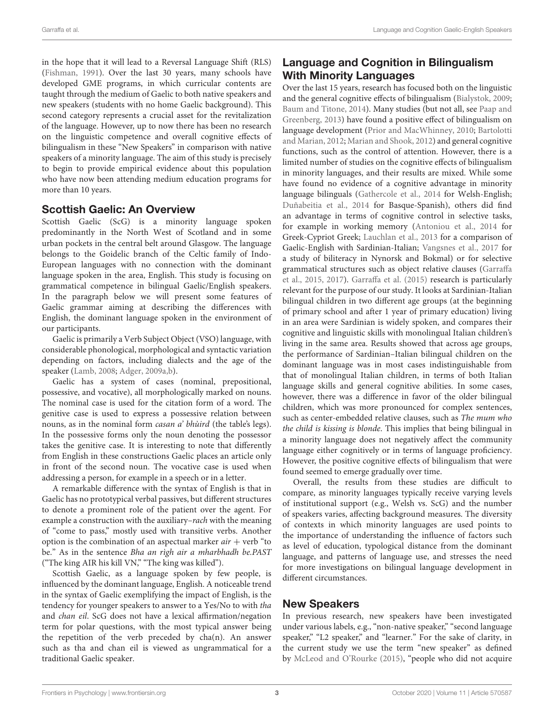in the hope that it will lead to a Reversal Language Shift (RLS) [\(Fishman,](#page-10-1) [1991\)](#page-10-1). Over the last 30 years, many schools have developed GME programs, in which curricular contents are taught through the medium of Gaelic to both native speakers and new speakers (students with no home Gaelic background). This second category represents a crucial asset for the revitalization of the language. However, up to now there has been no research on the linguistic competence and overall cognitive effects of bilingualism in these "New Speakers" in comparison with native speakers of a minority language. The aim of this study is precisely to begin to provide empirical evidence about this population who have now been attending medium education programs for more than 10 years.

# Scottish Gaelic: An Overview

Scottish Gaelic (ScG) is a minority language spoken predominantly in the North West of Scotland and in some urban pockets in the central belt around Glasgow. The language belongs to the Goidelic branch of the Celtic family of Indo-European languages with no connection with the dominant language spoken in the area, English. This study is focusing on grammatical competence in bilingual Gaelic/English speakers. In the paragraph below we will present some features of Gaelic grammar aiming at describing the differences with English, the dominant language spoken in the environment of our participants.

Gaelic is primarily a Verb Subject Object (VSO) language, with considerable phonological, morphological and syntactic variation depending on factors, including dialects and the age of the speaker [\(Lamb,](#page-10-8) [2008;](#page-10-8) [Adger,](#page-10-9) [2009a,](#page-10-9)[b\)](#page-10-10).

Gaelic has a system of cases (nominal, prepositional, possessive, and vocative), all morphologically marked on nouns. The nominal case is used for the citation form of a word. The genitive case is used to express a possessive relation between nouns, as in the nominal form casan a' bhùird (the table's legs). In the possessive forms only the noun denoting the possessor takes the genitive case. It is interesting to note that differently from English in these constructions Gaelic places an article only in front of the second noun. The vocative case is used when addressing a person, for example in a speech or in a letter.

A remarkable difference with the syntax of English is that in Gaelic has no prototypical verbal passives, but different structures to denote a prominent role of the patient over the agent. For example a construction with the auxiliary–rach with the meaning of "come to pass," mostly used with transitive verbs. Another option is the combination of an aspectual marker  $air + verb$  "to be." As in the sentence Bha an rìgh air a mharbhadh be.PAST ("The king AIR his kill VN," "The king was killed").

Scottish Gaelic, as a language spoken by few people, is influenced by the dominant language, English. A noticeable trend in the syntax of Gaelic exemplifying the impact of English, is the tendency for younger speakers to answer to a Yes/No to with tha and chan eil. ScG does not have a lexical affirmation/negation term for polar questions, with the most typical answer being the repetition of the verb preceded by  $cha(n)$ . An answer such as tha and chan eil is viewed as ungrammatical for a traditional Gaelic speaker.

# Language and Cognition in Bilingualism With Minority Languages

Over the last 15 years, research has focused both on the linguistic and the general cognitive effects of bilingualism [\(Bialystok,](#page-10-11) [2009;](#page-10-11) [Baum and Titone,](#page-10-12) [2014\)](#page-10-12). Many studies (but not all, see [Paap and](#page-11-3) [Greenberg,](#page-11-3) [2013\)](#page-11-3) have found a positive effect of bilingualism on language development [\(Prior and MacWhinney,](#page-11-4) [2010;](#page-11-4) [Bartolotti](#page-10-13) [and Marian,](#page-10-13) [2012;](#page-10-13) [Marian and Shook,](#page-11-0) [2012\)](#page-11-0) and general cognitive functions, such as the control of attention. However, there is a limited number of studies on the cognitive effects of bilingualism in minority languages, and their results are mixed. While some have found no evidence of a cognitive advantage in minority language bilinguals [\(Gathercole et al.,](#page-10-14) [2014](#page-10-14) for Welsh-English; [Duñabeitia et al.,](#page-10-15) [2014](#page-10-15) for Basque-Spanish), others did find an advantage in terms of cognitive control in selective tasks, for example in working memory [\(Antoniou et al.,](#page-10-16) [2014](#page-10-16) for Greek-Cypriot Greek; [Lauchlan et al.,](#page-10-17) [2013](#page-10-17) for a comparison of Gaelic-English with Sardinian-Italian; [Vangsnes et al.,](#page-11-5) [2017](#page-11-5) for a study of biliteracy in Nynorsk and Bokmal) or for selective grammatical structures such as object relative clauses [\(Garraffa](#page-10-4) [et al.,](#page-10-4) [2015,](#page-10-4) [2017\)](#page-10-18). [Garraffa et al.](#page-10-4) [\(2015\)](#page-10-4) research is particularly relevant for the purpose of our study. It looks at Sardinian-Italian bilingual children in two different age groups (at the beginning of primary school and after 1 year of primary education) living in an area were Sardinian is widely spoken, and compares their cognitive and linguistic skills with monolingual Italian children's living in the same area. Results showed that across age groups, the performance of Sardinian–Italian bilingual children on the dominant language was in most cases indistinguishable from that of monolingual Italian children, in terms of both Italian language skills and general cognitive abilities. In some cases, however, there was a difference in favor of the older bilingual children, which was more pronounced for complex sentences, such as center-embedded relative clauses, such as The mum who the child is kissing is blonde. This implies that being bilingual in a minority language does not negatively affect the community language either cognitively or in terms of language proficiency. However, the positive cognitive effects of bilingualism that were found seemed to emerge gradually over time.

Overall, the results from these studies are difficult to compare, as minority languages typically receive varying levels of institutional support (e.g., Welsh vs. ScG) and the number of speakers varies, affecting background measures. The diversity of contexts in which minority languages are used points to the importance of understanding the influence of factors such as level of education, typological distance from the dominant language, and patterns of language use, and stresses the need for more investigations on bilingual language development in different circumstances.

# New Speakers

In previous research, new speakers have been investigated under various labels, e.g., "non-native speaker," "second language speaker," "L2 speaker," and "learner." For the sake of clarity, in the current study we use the term "new speaker" as defined by [McLeod and O'Rourke](#page-11-6) [\(2015\)](#page-11-6), "people who did not acquire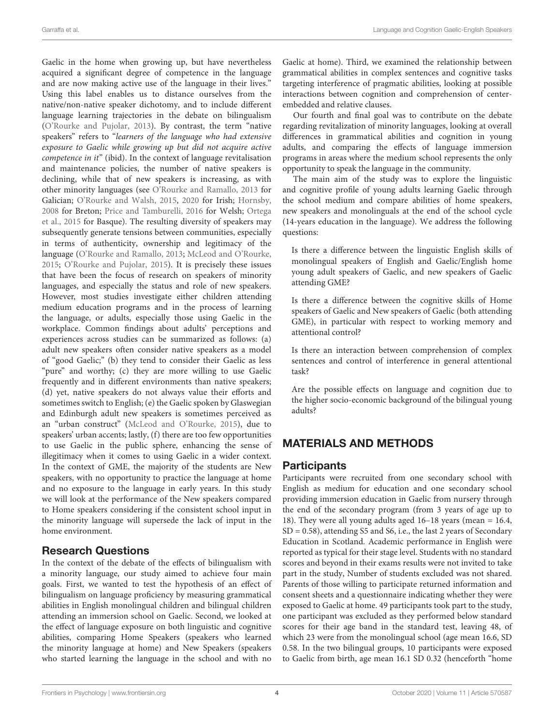Gaelic in the home when growing up, but have nevertheless acquired a significant degree of competence in the language and are now making active use of the language in their lives." Using this label enables us to distance ourselves from the native/non-native speaker dichotomy, and to include different language learning trajectories in the debate on bilingualism [\(O'Rourke and Pujolar,](#page-11-7) [2013\)](#page-11-7). By contrast, the term "native speakers" refers to "learners of the language who had extensive exposure to Gaelic while growing up but did not acquire active competence in it" (ibid). In the context of language revitalisation and maintenance policies, the number of native speakers is declining, while that of new speakers is increasing, as with other minority languages (see [O'Rourke and Ramallo,](#page-11-8) [2013](#page-11-8) for Galician; [O'Rourke and Walsh,](#page-11-9) [2015,](#page-11-9) [2020](#page-11-10) for Irish; [Hornsby,](#page-10-19) [2008](#page-10-19) for Breton; [Price and Tamburelli,](#page-11-11) [2016](#page-11-11) for Welsh; [Ortega](#page-11-12) [et al.,](#page-11-12) [2015](#page-11-12) for Basque). The resulting diversity of speakers may subsequently generate tensions between communities, especially in terms of authenticity, ownership and legitimacy of the language [\(O'Rourke and Ramallo,](#page-11-8) [2013;](#page-11-8) [McLeod and O'Rourke,](#page-11-6) [2015;](#page-11-6) [O'Rourke and Pujolar,](#page-11-13) [2015\)](#page-11-13). It is precisely these issues that have been the focus of research on speakers of minority languages, and especially the status and role of new speakers. However, most studies investigate either children attending medium education programs and in the process of learning the language, or adults, especially those using Gaelic in the workplace. Common findings about adults' perceptions and experiences across studies can be summarized as follows: (a) adult new speakers often consider native speakers as a model of "good Gaelic;" (b) they tend to consider their Gaelic as less "pure" and worthy; (c) they are more willing to use Gaelic frequently and in different environments than native speakers; (d) yet, native speakers do not always value their efforts and sometimes switch to English; (e) the Gaelic spoken by Glaswegian and Edinburgh adult new speakers is sometimes perceived as an "urban construct" [\(McLeod and O'Rourke,](#page-11-6) [2015\)](#page-11-6), due to speakers' urban accents; lastly, (f) there are too few opportunities to use Gaelic in the public sphere, enhancing the sense of illegitimacy when it comes to using Gaelic in a wider context. In the context of GME, the majority of the students are New speakers, with no opportunity to practice the language at home and no exposure to the language in early years. In this study we will look at the performance of the New speakers compared to Home speakers considering if the consistent school input in the minority language will supersede the lack of input in the home environment.

# Research Questions

In the context of the debate of the effects of bilingualism with a minority language, our study aimed to achieve four main goals. First, we wanted to test the hypothesis of an effect of bilingualism on language proficiency by measuring grammatical abilities in English monolingual children and bilingual children attending an immersion school on Gaelic. Second, we looked at the effect of language exposure on both linguistic and cognitive abilities, comparing Home Speakers (speakers who learned the minority language at home) and New Speakers (speakers who started learning the language in the school and with no

Gaelic at home). Third, we examined the relationship between grammatical abilities in complex sentences and cognitive tasks targeting interference of pragmatic abilities, looking at possible interactions between cognition and comprehension of centerembedded and relative clauses.

Our fourth and final goal was to contribute on the debate regarding revitalization of minority languages, looking at overall differences in grammatical abilities and cognition in young adults, and comparing the effects of language immersion programs in areas where the medium school represents the only opportunity to speak the language in the community.

The main aim of the study was to explore the linguistic and cognitive profile of young adults learning Gaelic through the school medium and compare abilities of home speakers, new speakers and monolinguals at the end of the school cycle (14-years education in the language). We address the following questions:

Is there a difference between the linguistic English skills of monolingual speakers of English and Gaelic/English home young adult speakers of Gaelic, and new speakers of Gaelic attending GME?

Is there a difference between the cognitive skills of Home speakers of Gaelic and New speakers of Gaelic (both attending GME), in particular with respect to working memory and attentional control?

Is there an interaction between comprehension of complex sentences and control of interference in general attentional task?

Are the possible effects on language and cognition due to the higher socio-economic background of the bilingual young adults?

# MATERIALS AND METHODS

# **Participants**

Participants were recruited from one secondary school with English as medium for education and one secondary school providing immersion education in Gaelic from nursery through the end of the secondary program (from 3 years of age up to 18). They were all young adults aged 16–18 years (mean = 16.4, SD = 0.58), attending S5 and S6, i.e., the last 2 years of Secondary Education in Scotland. Academic performance in English were reported as typical for their stage level. Students with no standard scores and beyond in their exams results were not invited to take part in the study, Number of students excluded was not shared. Parents of those willing to participate returned information and consent sheets and a questionnaire indicating whether they were exposed to Gaelic at home. 49 participants took part to the study, one participant was excluded as they performed below standard scores for their age band in the standard test, leaving 48, of which 23 were from the monolingual school (age mean 16.6, SD 0.58. In the two bilingual groups, 10 participants were exposed to Gaelic from birth, age mean 16.1 SD 0.32 (henceforth "home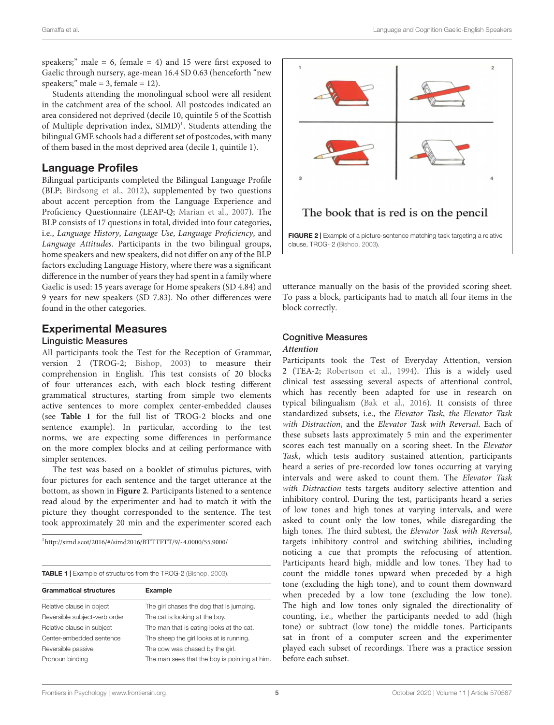speakers;" male =  $6$ , female =  $4$ ) and 15 were first exposed to Gaelic through nursery, age-mean 16.4 SD 0.63 (henceforth "new speakers;" male = 3, female =  $12$ ).

Students attending the monolingual school were all resident in the catchment area of the school. All postcodes indicated an area considered not deprived (decile 10, quintile 5 of the Scottish of Multiple deprivation index, SIMD)<sup>[1](#page-4-0)</sup>. Students attending the bilingual GME schools had a different set of postcodes, with many of them based in the most deprived area (decile 1, quintile 1).

# Language Profiles

Bilingual participants completed the Bilingual Language Profile (BLP; [Birdsong et al.,](#page-10-20) [2012\)](#page-10-20), supplemented by two questions about accent perception from the Language Experience and Proficiency Questionnaire (LEAP-Q; [Marian et al.,](#page-10-21) [2007\)](#page-10-21). The BLP consists of 17 questions in total, divided into four categories, i.e., Language History, Language Use, Language Proficiency, and Language Attitudes. Participants in the two bilingual groups, home speakers and new speakers, did not differ on any of the BLP factors excluding Language History, where there was a significant difference in the number of years they had spent in a family where Gaelic is used: 15 years average for Home speakers (SD 4.84) and 9 years for new speakers (SD 7.83). No other differences were found in the other categories.

# Experimental Measures

#### Linguistic Measures

All participants took the Test for the Reception of Grammar, version 2 (TROG-2; [Bishop,](#page-10-22) [2003\)](#page-10-22) to measure their comprehension in English. This test consists of 20 blocks of four utterances each, with each block testing different grammatical structures, starting from simple two elements active sentences to more complex center-embedded clauses (see **[Table 1](#page-4-1)** for the full list of TROG-2 blocks and one sentence example). In particular, according to the test norms, we are expecting some differences in performance on the more complex blocks and at ceiling performance with simpler sentences.

The test was based on a booklet of stimulus pictures, with four pictures for each sentence and the target utterance at the bottom, as shown in **[Figure 2](#page-4-2)**. Participants listened to a sentence read aloud by the experimenter and had to match it with the picture they thought corresponded to the sentence. The test took approximately 20 min and the experimenter scored each

<span id="page-4-0"></span><sup>1</sup><http://simd.scot/2016/#/simd2016/BTTTFTT/9/-4.0000/55.9000/>

<span id="page-4-1"></span>

| <b>TABLE 1</b> Example of structures from the TROG-2 (Bishop, 2003). |  |  |  |
|----------------------------------------------------------------------|--|--|--|

| <b>Grammatical structures</b> | <b>Example</b>                                |
|-------------------------------|-----------------------------------------------|
| Relative clause in object     | The girl chases the dog that is jumping.      |
| Reversible subject-verb order | The cat is looking at the boy.                |
| Relative clause in subject    | The man that is eating looks at the cat.      |
| Center-embedded sentence      | The sheep the girl looks at is running.       |
| Reversible passive            | The cow was chased by the girl.               |
| Pronoun binding               | The man sees that the boy is pointing at him. |
|                               |                                               |



<span id="page-4-2"></span>utterance manually on the basis of the provided scoring sheet. To pass a block, participants had to match all four items in the block correctly.

# Cognitive Measures

### **Attention**

Participants took the Test of Everyday Attention, version 2 (TEA-2; [Robertson et al.,](#page-11-14) [1994\)](#page-11-14). This is a widely used clinical test assessing several aspects of attentional control, which has recently been adapted for use in research on typical bilingualism [\(Bak et al.,](#page-10-23) [2016\)](#page-10-23). It consists of three standardized subsets, i.e., the Elevator Task, the Elevator Task with Distraction, and the Elevator Task with Reversal. Each of these subsets lasts approximately 5 min and the experimenter scores each test manually on a scoring sheet. In the Elevator Task, which tests auditory sustained attention, participants heard a series of pre-recorded low tones occurring at varying intervals and were asked to count them. The Elevator Task with Distraction tests targets auditory selective attention and inhibitory control. During the test, participants heard a series of low tones and high tones at varying intervals, and were asked to count only the low tones, while disregarding the high tones. The third subtest, the Elevator Task with Reversal, targets inhibitory control and switching abilities, including noticing a cue that prompts the refocusing of attention. Participants heard high, middle and low tones. They had to count the middle tones upward when preceded by a high tone (excluding the high tone), and to count them downward when preceded by a low tone (excluding the low tone). The high and low tones only signaled the directionality of counting, i.e., whether the participants needed to add (high tone) or subtract (low tone) the middle tones. Participants sat in front of a computer screen and the experimenter played each subset of recordings. There was a practice session before each subset.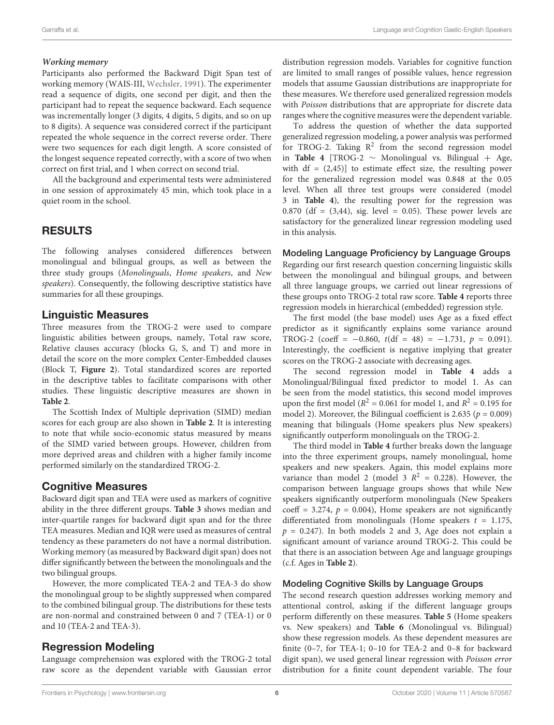#### **Working memory**

Participants also performed the Backward Digit Span test of working memory (WAIS-III, [Wechsler,](#page-11-15) [1991\)](#page-11-15). The experimenter read a sequence of digits, one second per digit, and then the participant had to repeat the sequence backward. Each sequence was incrementally longer (3 digits, 4 digits, 5 digits, and so on up to 8 digits). A sequence was considered correct if the participant repeated the whole sequence in the correct reverse order. There were two sequences for each digit length. A score consisted of the longest sequence repeated correctly, with a score of two when correct on first trial, and 1 when correct on second trial.

All the background and experimental tests were administered in one session of approximately 45 min, which took place in a quiet room in the school.

# RESULTS

The following analyses considered differences between monolingual and bilingual groups, as well as between the three study groups (Monolinguals, Home speakers, and New speakers). Consequently, the following descriptive statistics have summaries for all these groupings.

# Linguistic Measures

Three measures from the TROG-2 were used to compare linguistic abilities between groups, namely, Total raw score, Relative clauses accuracy (blocks G, S, and T) and more in detail the score on the more complex Center-Embedded clauses (Block T, **[Figure 2](#page-4-2)**). Total standardized scores are reported in the descriptive tables to facilitate comparisons with other studies. These linguistic descriptive measures are shown in **[Table 2](#page-6-0)**.

The Scottish Index of Multiple deprivation (SIMD) median scores for each group are also shown in **[Table 2](#page-6-0)**. It is interesting to note that while socio-economic status measured by means of the SIMD varied between groups. However, children from more deprived areas and children with a higher family income performed similarly on the standardized TROG-2.

# Cognitive Measures

Backward digit span and TEA were used as markers of cognitive ability in the three different groups. **[Table 3](#page-6-1)** shows median and inter-quartile ranges for backward digit span and for the three TEA measures. Median and IQR were used as measures of central tendency as these parameters do not have a normal distribution. Working memory (as measured by Backward digit span) does not differ significantly between the between the monolinguals and the two bilingual groups.

However, the more complicated TEA-2 and TEA-3 do show the monolingual group to be slightly suppressed when compared to the combined bilingual group. The distributions for these tests are non-normal and constrained between 0 and 7 (TEA-1) or 0 and 10 (TEA-2 and TEA-3).

# Regression Modeling

Language comprehension was explored with the TROG-2 total raw score as the dependent variable with Gaussian error distribution regression models. Variables for cognitive function are limited to small ranges of possible values, hence regression models that assume Gaussian distributions are inappropriate for these measures. We therefore used generalized regression models with Poisson distributions that are appropriate for discrete data ranges where the cognitive measures were the dependent variable.

To address the question of whether the data supported generalized regression modeling, a power analysis was performed for TROG-2. Taking  $R^2$  from the second regression model in **[Table 4](#page-6-2)** [TROG-2  $\sim$  Monolingual vs. Bilingual + Age, with  $df = (2,45)$  to estimate effect size, the resulting power for the generalized regression model was 0.848 at the 0.05 level. When all three test groups were considered (model 3 in **[Table 4](#page-6-2)**), the resulting power for the regression was 0.870 (df =  $(3,44)$ , sig. level = 0.05). These power levels are satisfactory for the generalized linear regression modeling used in this analysis.

#### Modeling Language Proficiency by Language Groups

Regarding our first research question concerning linguistic skills between the monolingual and bilingual groups, and between all three language groups, we carried out linear regressions of these groups onto TROG-2 total raw score. **[Table 4](#page-6-2)** reports three regression models in hierarchical (embedded) regression style.

The first model (the base model) uses Age as a fixed effect predictor as it significantly explains some variance around TROG-2 (coeff =  $-0.860$ ,  $t(df = 48) = -1.731$ ,  $p = 0.091$ ). Interestingly, the coefficient is negative implying that greater scores on the TROG-2 associate with decreasing ages.

The second regression model in **[Table 4](#page-6-2)** adds a Monolingual/Bilingual fixed predictor to model 1. As can be seen from the model statistics, this second model improves upon the first model ( $R^2 = 0.061$  for model 1, and  $R^2 = 0.195$  for model 2). Moreover, the Bilingual coefficient is 2.635 ( $p = 0.009$ ) meaning that bilinguals (Home speakers plus New speakers) significantly outperform monolinguals on the TROG-2.

The third model in **[Table 4](#page-6-2)** further breaks down the language into the three experiment groups, namely monolingual, home speakers and new speakers. Again, this model explains more variance than model 2 (model 3  $R^2 = 0.228$ ). However, the comparison between language groups shows that while New speakers significantly outperform monolinguals (New Speakers coeff = 3.274,  $p = 0.004$ ), Home speakers are not significantly differentiated from monolinguals (Home speakers  $t = 1.175$ ,  $p = 0.247$ ). In both models 2 and 3, Age does not explain a significant amount of variance around TROG-2. This could be that there is an association between Age and language groupings (c.f. Ages in **[Table 2](#page-6-0)**).

### Modeling Cognitive Skills by Language Groups

The second research question addresses working memory and attentional control, asking if the different language groups perform differently on these measures. **[Table 5](#page-7-0)** (Home speakers vs. New speakers) and **[Table 6](#page-7-1)** (Monolingual vs. Bilingual) show these regression models. As these dependent measures are finite (0–7, for TEA-1; 0–10 for TEA-2 and 0–8 for backward digit span), we used general linear regression with Poisson error distribution for a finite count dependent variable. The four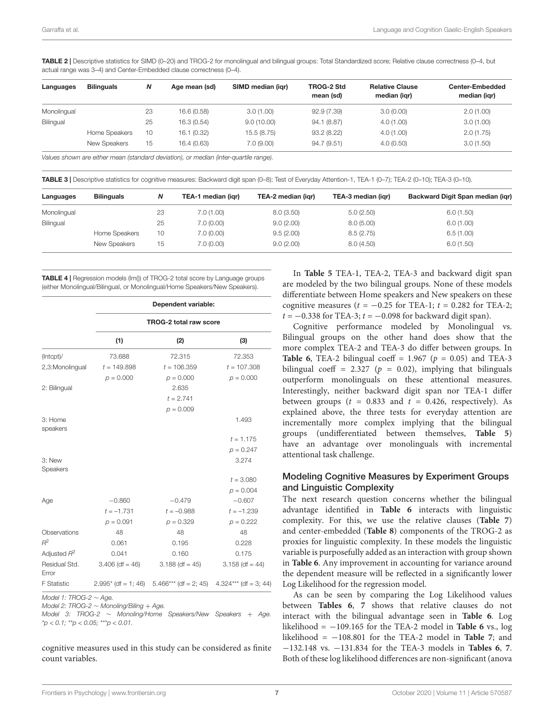<span id="page-6-0"></span>TABLE 2 | Descriptive statistics for SIMD (0-20) and TROG-2 for monolingual and bilingual groups: Total Standardized score; Relative clause correctness (0-4, but actual range was 3–4) and Center-Embedded clause correctness (0–4).

| Languages   | <b>Bilinguals</b> | Ν  | Age mean (sd) | SIMD median (igr) | TROG-2 Std<br>mean (sd) | <b>Relative Clause</b><br>median (igr) | <b>Center-Embedded</b><br>median (igr) |
|-------------|-------------------|----|---------------|-------------------|-------------------------|----------------------------------------|----------------------------------------|
| Monolingual |                   | 23 | 16.6 (0.58)   | 3.0(1.00)         | 92.9(7.39)              | 3.0(0.00)                              | 2.0(1.00)                              |
| Bilingual   |                   | 25 | 16.3 (0.54)   | 9.0(10.00)        | 94.1 (8.87)             | 4.0(1.00)                              | 3.0(1.00)                              |
|             | Home Speakers     | 10 | 16.1(0.32)    | 15.5(8.75)        | 93.2(8.22)              | 4.0(1.00)                              | 2.0(1.75)                              |
|             | New Speakers      | 15 | 16.4 (0.63)   | 7.0(9.00)         | 94.7(9.51)              | 4.0(0.50)                              | 3.0(1.50)                              |

Values shown are either mean (standard deviation), or median (inter-quartile range).

<span id="page-6-1"></span>TABLE 3 | Descriptive statistics for cognitive measures: Backward digit span (0–8); Test of Everyday Attention-1, TEA-1 (0–7); TEA-2 (0–10); TEA-3 (0–10).

| Languages   | <b>Bilinguals</b> | N  | TEA-1 median (igr) | TEA-2 median (igr) | TEA-3 median (igr) | Backward Digit Span median (igr) |
|-------------|-------------------|----|--------------------|--------------------|--------------------|----------------------------------|
| Monolingual |                   | 23 | 7.0(1.00)          | 8.0(3.50)          | 5.0(2.50)          | 6.0(1.50)                        |
| Bilingual   |                   | 25 | 7.0(0.00)          | 9.0(2.00)          | 8.0(5.00)          | 6.0(1.00)                        |
|             | Home Speakers     | 10 | 7.0(0.00)          | 9.5(2.00)          | 8.5(2.75)          | 6.5(1.00)                        |
|             | New Speakers      | 15 | 7.0(0.00)          | 9.0(2.00)          | 8.0(4.50)          | 6.0(1.50)                        |

<span id="page-6-2"></span>**TABLE 4 | Regression models (Im()) of TROG-2 total score by Language groups** (either Monolingual/Bilingual, or Monolingual/Home Speakers/New Speakers).

|                        | Dependent variable: |                                                                       |                   |  |  |  |  |  |
|------------------------|---------------------|-----------------------------------------------------------------------|-------------------|--|--|--|--|--|
|                        |                     | <b>TROG-2 total raw score</b>                                         |                   |  |  |  |  |  |
|                        | (1)                 | (2)                                                                   | (3)               |  |  |  |  |  |
| (Intcpt)/              | 73.688              | 72.315                                                                | 72.353            |  |  |  |  |  |
| 2,3:Monolingual        | $t = 149.898$       | $t = 106.359$                                                         | $t = 107.308$     |  |  |  |  |  |
|                        | $p = 0.000$         | $p = 0.000$                                                           | $p = 0.000$       |  |  |  |  |  |
| 2: Bilingual           |                     | 2.635                                                                 |                   |  |  |  |  |  |
|                        |                     | $t = 2.741$                                                           |                   |  |  |  |  |  |
|                        |                     | $p = 0.009$                                                           |                   |  |  |  |  |  |
| 3: Home                |                     |                                                                       | 1.493             |  |  |  |  |  |
| speakers               |                     |                                                                       |                   |  |  |  |  |  |
|                        |                     |                                                                       | $t = 1.175$       |  |  |  |  |  |
|                        |                     |                                                                       | $p = 0.247$       |  |  |  |  |  |
| 3: New                 |                     |                                                                       | 3.274             |  |  |  |  |  |
| Speakers               |                     |                                                                       |                   |  |  |  |  |  |
|                        |                     |                                                                       | $t = 3.080$       |  |  |  |  |  |
|                        |                     |                                                                       | $p = 0.004$       |  |  |  |  |  |
| Age                    | $-0.860$            | $-0.479$                                                              | $-0.607$          |  |  |  |  |  |
|                        | $t = -1.731$        | $t = -0.988$                                                          | $t = -1.239$      |  |  |  |  |  |
|                        | $p = 0.091$         | $p = 0.329$                                                           | $p = 0.222$       |  |  |  |  |  |
| Observations           | 48                  | 48                                                                    | 48                |  |  |  |  |  |
| $R^2$                  | 0.061               | 0.195                                                                 | 0.228             |  |  |  |  |  |
| Adjusted $R^2$         | 0.041               | 0.160                                                                 | 0.175             |  |  |  |  |  |
| Residual Std.<br>Error | $3.406$ (df = 46)   | $3.188$ (df = 45)                                                     | $3.158$ (df = 44) |  |  |  |  |  |
| <b>F</b> Statistic     |                     | $2.995*$ (df = 1; 46) $5.466***$ (df = 2; 45) $4.324***$ (df = 3; 44) |                   |  |  |  |  |  |

Model 1: TROG-2  $\sim$  Age.

Model 2: TROG-2 ∼ Monoling/Biling + Age.

Model 3: TROG-2 ∼ Monoling/Home Speakers/New Speakers + Age.  $*p < 0.1;$   $*p < 0.05;$   $**p < 0.01$ .

cognitive measures used in this study can be considered as finite count variables.

In **[Table 5](#page-7-0)** TEA-1, TEA-2, TEA-3 and backward digit span are modeled by the two bilingual groups. None of these models differentiate between Home speakers and New speakers on these cognitive measures ( $t = -0.25$  for TEA-1;  $t = 0.282$  for TEA-2;  $t = -0.338$  for TEA-3;  $t = -0.098$  for backward digit span).

Cognitive performance modeled by Monolingual vs. Bilingual groups on the other hand does show that the more complex TEA-2 and TEA-3 do differ between groups. In **[Table 6](#page-7-1)**, TEA-2 bilingual coeff =  $1.967$  ( $p = 0.05$ ) and TEA-3 bilingual coeff = 2.327 ( $p = 0.02$ ), implying that bilinguals outperform monolinguals on these attentional measures. Interestingly, neither backward digit span nor TEA-1 differ between groups ( $t = 0.833$  and  $t = 0.426$ , respectively). As explained above, the three tests for everyday attention are incrementally more complex implying that the bilingual groups (undifferentiated between themselves, **[Table 5](#page-7-0)**) have an advantage over monolinguals with incremental attentional task challenge.

#### Modeling Cognitive Measures by Experiment Groups and Linguistic Complexity

The next research question concerns whether the bilingual advantage identified in **[Table 6](#page-7-1)** interacts with linguistic complexity. For this, we use the relative clauses (**[Table 7](#page-7-2)**) and center-embedded (**[Table 8](#page-8-0)**) components of the TROG-2 as proxies for linguistic complexity. In these models the linguistic variable is purposefully added as an interaction with group shown in **[Table 6](#page-7-1)**. Any improvement in accounting for variance around the dependent measure will be reflected in a significantly lower Log Likelihood for the regression model.

As can be seen by comparing the Log Likelihood values between **[Tables 6](#page-7-1)**, **[7](#page-7-2)** shows that relative clauses do not interact with the bilingual advantage seen in **[Table 6](#page-7-1)**. Log likelihood =  $-109.165$  for the TEA-2 model in **[Table 6](#page-7-1)** vs., log likelihood =  $-108.801$  for the TEA-2 model in **[Table 7](#page-7-2)**; and −132.148 vs. −131.834 for the TEA-3 models in **[Tables 6](#page-7-1)**, **[7](#page-7-2)**. Both of these log likelihood differences are non-significant (anova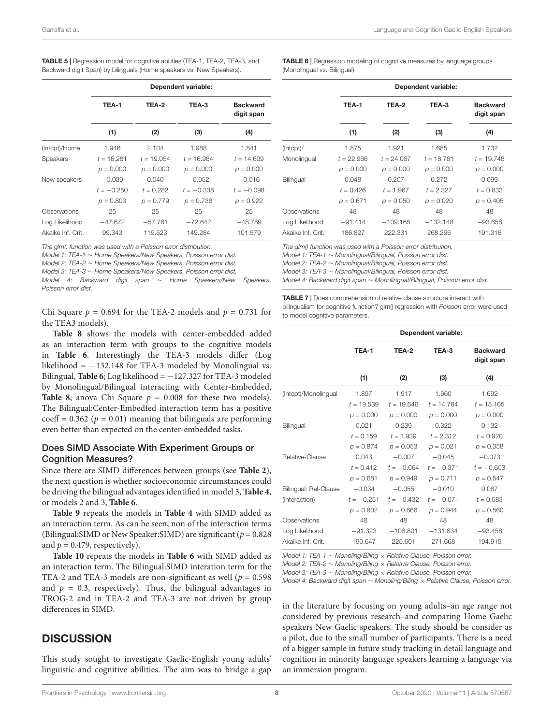| Garraffa et al. | Language and Cognition Gaelic-English Speakers |
|-----------------|------------------------------------------------|
|-----------------|------------------------------------------------|

<span id="page-7-0"></span>

| <b>TABLE 5</b>   Regression model for cognitive abilities (TEA-1, TEA-2, TEA-3, and |
|-------------------------------------------------------------------------------------|
| Backward digit Span) by bilinguals (Home speakers vs. New Speakers).                |

|                   | Dependent variable: |              |              |                               |  |  |  |
|-------------------|---------------------|--------------|--------------|-------------------------------|--|--|--|
|                   | TEA-1               | TEA-2        | TEA-3        | <b>Backward</b><br>digit span |  |  |  |
|                   | (1)                 | (2)          | (3)          | (4)                           |  |  |  |
| (Intcpt)/Home     | 1.946               | 2.104        | 1.988        | 1.841                         |  |  |  |
| <b>Speakers</b>   | $t = 16.281$        | $t = 19.054$ | $t = 16.984$ | $t = 14.609$                  |  |  |  |
|                   | $p = 0.000$         | $p = 0.000$  | $p = 0.000$  | $p = 0.000$                   |  |  |  |
| New speakers      | $-0.039$            | 0.040        | $-0.052$     | $-0.016$                      |  |  |  |
|                   | $t = -0.250$        | $t = 0.282$  | $t = -0.338$ | $t = -0.098$                  |  |  |  |
|                   | $p = 0.803$         | $p = 0.779$  | $p = 0.736$  | $p = 0.922$                   |  |  |  |
| Observations      | 25                  | 25           | 25           | 25                            |  |  |  |
| Log Likelihood    | $-47.672$           | $-57.761$    | $-72.642$    | $-48.789$                     |  |  |  |
| Akaike Inf. Crit. | 99.343              | 119.523      | 149.284      | 101.579                       |  |  |  |

The glm() function was used with a Poisson error distribution.

Model 1: TEA-1 ∼ Home Speakers/New Speakers, Poisson error dist. Model 2: TEA-2 ∼ Home Speakers/New Speakers, Poisson error dist. Model 3: TEA-3 ∼ Home Speakers/New Speakers, Poisson error dist. Model 4: Backward digit span ∼ Home Speakers/New Speakers, Poisson error dist.

Chi Square  $p = 0.694$  for the TEA-2 models and  $p = 0.731$  for the TEA3 models).

**[Table 8](#page-8-0)** shows the models with center-embedded added as an interaction term with groups to the cognitive models in **[Table 6](#page-7-1)**. Interestingly the TEA-3 models differ (Log likelihood =  $-132.148$  for TEA-3 modeled by Monolingual vs. Bilingual, **[Table 6](#page-7-1)**; Log likelihood = −127.327 for TEA-3 modeled by Monolingual/Bilingual interacting with Center-Embedded, **[Table 8](#page-8-0)**; anova Chi Square  $p = 0.008$  for these two models). The Bilingual:Center-Embedfed interaction term has a positive coeff =  $0.362$  ( $p = 0.01$ ) meaning that bilinguals are performing even better than expected on the center-embedded tasks.

#### Does SIMD Associate With Experiment Groups or **Cognition Measures?**

Since there are SIMD differences between groups (see **[Table 2](#page-6-0)**), the next question is whether socioeconomic circumstances could be driving the bilingual advantages identified in model 3, **[Table 4](#page-6-2)**, or models 2 and 3, **[Table 6](#page-7-1)**.

**[Table 9](#page-8-1)** repeats the models in **[Table 4](#page-6-2)** with SIMD added as an interaction term. As can be seen, non of the interaction terms (Bilingual:SIMD or New Speaker:SIMD) are significant ( $p = 0.828$ ) and  $p = 0.479$ , respectively).

**[Table 10](#page-9-0)** repeats the models in **[Table 6](#page-7-1)** with SIMD added as an interaction term. The Bilingual:SIMD interation term for the TEA-2 and TEA-3 models are non-significant as well ( $p = 0.598$ ) and  $p = 0.3$ , respectively). Thus, the bilingual advantages in TROG-2 and in TEA-2 and TEA-3 are not driven by group differences in SIMD.

# **DISCUSSION**

This study sought to investigate Gaelic-English young adults' linguistic and cognitive abilities. The aim was to bridge a gap <span id="page-7-1"></span>**TABLE 6** | Regression modeling of cognitive measures by language groups (Monolingual vs. Bilingual).

|                   | Dependent variable: |              |              |                               |  |  |
|-------------------|---------------------|--------------|--------------|-------------------------------|--|--|
|                   | TEA-1               | TEA-2        | TEA-3        | <b>Backward</b><br>digit span |  |  |
|                   | (1)                 | (2)          | (3)          | (4)                           |  |  |
| (Intcpt)/         | 1.875               | 1.921        | 1.685        | 1.732                         |  |  |
| Monolingual       | $t = 22.966$        | $t = 24.067$ | $t = 18.761$ | $t = 19.748$                  |  |  |
|                   | $p = 0.000$         | $p = 0.000$  | $p = 0.000$  | $p = 0.000$                   |  |  |
| Bilingual         | 0.048               | 0.207        | 0.272        | 0.099                         |  |  |
|                   | $t = 0.426$         | $t = 1.967$  | $t = 2.327$  | $t = 0.833$                   |  |  |
|                   | $p = 0.671$         | $p = 0.050$  | $p = 0.020$  | $p = 0.405$                   |  |  |
| Observations      | 48                  | 48           | 48           | 48                            |  |  |
| Log Likelihood    | $-91.414$           | $-109.165$   | $-132.148$   | $-93.658$                     |  |  |
| Akaike Inf. Crit. | 186.827             | 222.331      | 268,296      | 191.316                       |  |  |

The glm() function was used with a Poisson error distribution. Model 1: TEA-1 ∼ Monolingual/Bilingual, Poisson error dist. Model 2: TEA-2 ∼ Monolingual/Bilingual, Poisson error dist. Model 3: TEA-3 ∼ Monolingual/Bilingual, Poisson error dist.

Model 4: Backward digit span ∼ Monolingual/Bilingual, Poisson error dist.

<span id="page-7-2"></span>TABLE 7 | Does comprehension of relative clause structure interact with bilingualism for cognitive function? glm() regression with Poisson error were used to model cognitive parameters.

|                       | Dependent variable: |              |              |                               |  |
|-----------------------|---------------------|--------------|--------------|-------------------------------|--|
|                       | TEA-1               | TEA-2        | TEA-3        | <b>Backward</b><br>digit span |  |
|                       | (1)                 | (2)          | (3)          | (4)                           |  |
| (Intcpt)/Monolingual  | 1.897               | 1.917        | 1.660        | 1.692                         |  |
|                       | $t = 19.539$        | $t = 19.646$ | $t = 14.784$ | $t = 15.165$                  |  |
|                       | $p = 0.000$         | $p = 0.000$  | $p = 0.000$  | $p = 0.000$                   |  |
| <b>Bilingual</b>      | 0.021               | 0.239        | 0.322        | 0.132                         |  |
|                       | $t = 0.159$         | $t = 1.939$  | $t = 2.312$  | $t = 0.920$                   |  |
|                       | $p = 0.874$         | $p = 0.053$  | $p = 0.021$  | $p = 0.358$                   |  |
| Relative-Clause       | 0.043               | $-0.007$     | $-0.045$     | $-0.073$                      |  |
|                       | $t = 0.412$         | $t = -0.064$ | $t = -0.371$ | $t = -0.603$                  |  |
|                       | $p = 0.681$         | $p = 0.949$  | $p = 0.711$  | $p = 0.547$                   |  |
| Bilingual: Rel-Clause | $-0.034$            | $-0.055$     | $-0.010$     | 0.087                         |  |
| (Interaction)         | $t = -0.251$        | $t = -0.432$ | $t = -0.071$ | $t = 0.583$                   |  |
|                       | $p = 0.802$         | $p = 0.666$  | $p = 0.944$  | $p = 0.560$                   |  |
| Observations          | 48                  | 48           | 48           | 48                            |  |
| Log Likelihood        | $-91.323$           | $-108.801$   | $-131.834$   | $-93.458$                     |  |
| Akaike Inf. Crit.     | 190.647             | 225.601      | 271.668      | 194.915                       |  |

Model 1: TEA-1 ~ Monoling/Biling × Relative Clause, Poisson error.

Model 2: TEA-2 ~ Monoling/Biling × Relative Clause, Poisson error.

Model 3: TEA-3 ∼ Monoling/Biling × Relative Clause, Poisson error.

Model 4: Backward digit span ∼ Monoling/Biling × Relative Clause, Poisson error.

in the literature by focusing on young adults–an age range not considered by previous research–and comparing Home Gaelic speakers New Gaelic speakers. The study should be consider as a pilot, due to the small number of participants. There is a need of a bigger sample in future study tracking in detail language and cognition in minority language speakers learning a language via an immersion program.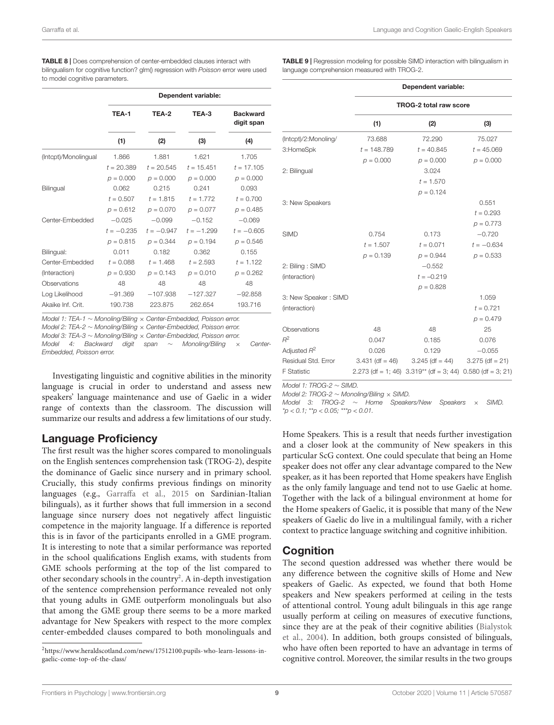<span id="page-8-0"></span>

|                      | Dependent variable: |              |              |                               |  |  |
|----------------------|---------------------|--------------|--------------|-------------------------------|--|--|
|                      | TEA-1               | TEA-2        | TEA-3        | <b>Backward</b><br>digit span |  |  |
|                      | (1)                 | (2)          | (3)          | (4)                           |  |  |
| (Intcpt)/Monolingual | 1.866               | 1.881        | 1.621        | 1.705                         |  |  |
|                      | $t = 20.389$        | $t = 20.545$ | $t = 15.451$ | $t = 17.105$                  |  |  |
|                      | $p = 0.000$         | $p = 0.000$  | $p = 0.000$  | $p = 0.000$                   |  |  |
| Bilingual            | 0.062               | 0.215        | 0.241        | 0.093                         |  |  |
|                      | $t = 0.507$         | $t = 1.815$  | $t = 1.772$  | $t = 0.700$                   |  |  |
|                      | $p = 0.612$         | $p = 0.070$  | $p = 0.077$  | $p = 0.485$                   |  |  |
| Center-Embedded      | $-0.025$            | $-0.099$     | $-0.152$     | $-0.069$                      |  |  |
|                      | $t = -0.235$        | $t = -0.947$ | $t = -1.299$ | $t = -0.605$                  |  |  |
|                      | $p = 0.815$         | $p = 0.344$  | $p = 0.194$  | $p = 0.546$                   |  |  |
| Bilingual:           | 0.011               | 0.182        | 0.362        | 0.155                         |  |  |
| Center-Embedded      | $t = 0.088$         | $t = 1.468$  | $t = 2.593$  | $t = 1.122$                   |  |  |
| (Interaction)        | $p = 0.930$         | $p = 0.143$  | $p = 0.010$  | $p = 0.262$                   |  |  |
| Observations         | 48                  | 48           | 48           | 48                            |  |  |
| Log Likelihood       | $-91.369$           | $-107.938$   | $-127.327$   | $-92.858$                     |  |  |
| Akaike Inf. Crit.    | 190.738             | 223.875      | 262.654      | 193.716                       |  |  |

Model 1: TEA-1 ∼ Monoling/Biling × Center-Embedded, Poisson error.

Model 2: TEA-2 ∼ Monoling/Biling × Center-Embedded, Poisson error.

Model 3: TEA-3 ∼ Monoling/Biling × Center-Embedded, Poisson error. Model 4: Backward digit span ∼ Monoling/Biling × Center-Embedded, Poisson error.

Investigating linguistic and cognitive abilities in the minority language is crucial in order to understand and assess new speakers' language maintenance and use of Gaelic in a wider range of contexts than the classroom. The discussion will summarize our results and address a few limitations of our study.

# Language Proficiency

The first result was the higher scores compared to monolinguals on the English sentences comprehension task (TROG-2), despite the dominance of Gaelic since nursery and in primary school. Crucially, this study confirms previous findings on minority languages (e.g., [Garraffa et al.,](#page-10-4) [2015](#page-10-4) on Sardinian-Italian bilinguals), as it further shows that full immersion in a second language since nursery does not negatively affect linguistic competence in the majority language. If a difference is reported this is in favor of the participants enrolled in a GME program. It is interesting to note that a similar performance was reported in the school qualifications English exams, with students from GME schools performing at the top of the list compared to other secondary schools in the country<sup>[2](#page-8-2)</sup>. A in-depth investigation of the sentence comprehension performance revealed not only that young adults in GME outperform monolinguals but also that among the GME group there seems to be a more marked advantage for New Speakers with respect to the more complex center-embedded clauses compared to both monolinguals and <span id="page-8-1"></span>TABLE 9 | Regression modeling for possible SIMD interaction with bilingualism in language comprehension measured with TROG-2.

|                      | Dependent variable:<br><b>TROG-2 total raw score</b> |                                                                  |                   |  |  |  |
|----------------------|------------------------------------------------------|------------------------------------------------------------------|-------------------|--|--|--|
|                      |                                                      |                                                                  |                   |  |  |  |
|                      | (1)                                                  | (2)                                                              | (3)               |  |  |  |
| (Intept)/2:Monoling/ | 73.688                                               | 72.290                                                           | 75.027            |  |  |  |
| 3:HomeSpk            | $t = 148.789$                                        | $t = 40.845$                                                     | $t = 45.069$      |  |  |  |
|                      | $p = 0.000$                                          | $p = 0.000$                                                      | $p = 0.000$       |  |  |  |
| 2: Bilingual         |                                                      | 3.024                                                            |                   |  |  |  |
|                      |                                                      | $t = 1.570$                                                      |                   |  |  |  |
|                      |                                                      | $p = 0.124$                                                      |                   |  |  |  |
| 3: New Speakers      |                                                      |                                                                  | 0.551             |  |  |  |
|                      |                                                      |                                                                  | $t = 0.293$       |  |  |  |
|                      |                                                      |                                                                  | $p = 0.773$       |  |  |  |
| <b>SIMD</b>          | 0.754                                                | 0.173                                                            | $-0.720$          |  |  |  |
|                      | $t = 1.507$                                          | $t = 0.071$                                                      | $t = -0.634$      |  |  |  |
|                      | $p = 0.139$                                          | $p = 0.944$                                                      | $p = 0.533$       |  |  |  |
| 2: Biling: SIMD      |                                                      | $-0.552$                                                         |                   |  |  |  |
| (interaction)        |                                                      | $t = -0.219$                                                     |                   |  |  |  |
|                      |                                                      | $p = 0.828$                                                      |                   |  |  |  |
| 3: New Speaker: SIMD |                                                      |                                                                  | 1.059             |  |  |  |
| (interaction)        |                                                      |                                                                  | $t = 0.721$       |  |  |  |
|                      |                                                      |                                                                  | $p = 0.479$       |  |  |  |
| Observations         | 48                                                   | 48                                                               | 25                |  |  |  |
| $R^2$                | 0.047                                                | 0.185                                                            | 0.076             |  |  |  |
| Adjusted $R^2$       | 0.026                                                | 0.129                                                            | $-0.055$          |  |  |  |
| Residual Std. Error  | $3.431$ (df = 46)                                    | $3.245$ (df = 44)                                                | $3.275$ (df = 21) |  |  |  |
| <b>F</b> Statistic   |                                                      | $2.273$ (df = 1; 46) $3.319**$ (df = 3; 44) $0.580$ (df = 3; 21) |                   |  |  |  |

Model 1: TROG-2 ∼ SIMD.

Model 2: TROG-2 ∼ Monoling/Biling × SIMD.

Model 3: TROG-2 ∼ Home Speakers/New Speakers × SIMD.  $*p < 0.1;$   $*p < 0.05;$   $**p < 0.01$ .

Home Speakers. This is a result that needs further investigation and a closer look at the community of New speakers in this particular ScG context. One could speculate that being an Home speaker does not offer any clear advantage compared to the New speaker, as it has been reported that Home speakers have English as the only family language and tend not to use Gaelic at home. Together with the lack of a bilingual environment at home for the Home speakers of Gaelic, it is possible that many of the New speakers of Gaelic do live in a multilingual family, with a richer context to practice language switching and cognitive inhibition.

# Cognition

The second question addressed was whether there would be any difference between the cognitive skills of Home and New speakers of Gaelic. As expected, we found that both Home speakers and New speakers performed at ceiling in the tests of attentional control. Young adult bilinguals in this age range usually perform at ceiling on measures of executive functions, since they are at the peak of their cognitive abilities [\(Bialystok](#page-10-24) [et al.,](#page-10-24) [2004\)](#page-10-24). In addition, both groups consisted of bilinguals, who have often been reported to have an advantage in terms of cognitive control. Moreover, the similar results in the two groups

<span id="page-8-2"></span><sup>2</sup>[https://www.heraldscotland.com/news/17512100.pupils-who-learn-lessons-in](https://www.heraldscotland.com/news/17512100.pupils-who-learn-lessons-in-gaelic-come-top-of-the-class/)[gaelic-come-top-of-the-class/](https://www.heraldscotland.com/news/17512100.pupils-who-learn-lessons-in-gaelic-come-top-of-the-class/)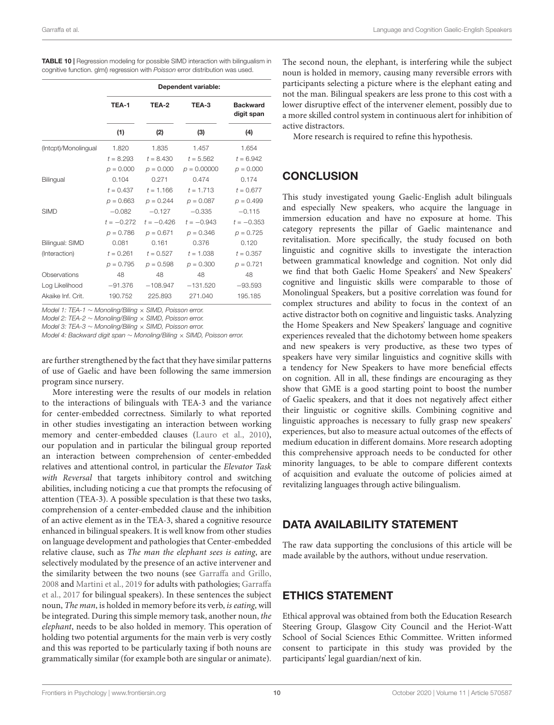<span id="page-9-0"></span>

| <b>TABLE 10</b>   Regression modeling for possible SIMD interaction with bilingualism in |
|------------------------------------------------------------------------------------------|
| cognitive function. glm() regression with Poisson error distribution was used.           |

|                      | Dependent variable: |              |               |                               |
|----------------------|---------------------|--------------|---------------|-------------------------------|
|                      | TEA-1               | TEA-2        | TEA-3         | <b>Backward</b><br>digit span |
|                      | (1)                 | (2)          | (3)           | (4)                           |
| (Intcpt)/Monolingual | 1.820               | 1.835        | 1.457         | 1.654                         |
|                      | $t = 8.293$         | $t = 8.430$  | $t = 5.562$   | $t = 6.942$                   |
|                      | $p = 0.000$         | $p = 0.000$  | $p = 0.00000$ | $p = 0.000$                   |
| Bilingual            | 0.104               | 0.271        | 0.474         | 0.174                         |
|                      | $t = 0.437$         | $t = 1.166$  | $t = 1.713$   | $t = 0.677$                   |
|                      | $p = 0.663$         | $p = 0.244$  | $p = 0.087$   | $p = 0.499$                   |
| <b>SIMD</b>          | $-0.082$            | $-0.127$     | $-0.335$      | $-0.115$                      |
|                      | $t = -0.272$        | $t = -0.426$ | $t = -0.943$  | $t = -0.353$                  |
|                      | $p = 0.786$         | $p = 0.671$  | $p = 0.346$   | $p = 0.725$                   |
| Bilingual: SIMD      | 0.081               | 0.161        | 0.376         | 0.120                         |
| (Interaction)        | $t = 0.261$         | $t = 0.527$  | $t = 1.038$   | $t = 0.357$                   |
|                      | $p = 0.795$         | $p = 0.598$  | $p = 0.300$   | $p = 0.721$                   |
| Observations         | 48                  | 48           | 48            | 48                            |
| Log Likelihood       | $-91.376$           | $-108.947$   | $-131.520$    | $-93.593$                     |
| Akaike Inf. Crit.    | 190.752             | 225.893      | 271.040       | 195.185                       |

Model 1: TEA-1 ∼ Monoling/Biling × SIMD, Poisson error.

Model 2: TEA-2 ∼ Monoling/Biling × SIMD, Poisson error.

Model 3: TEA-3 ∼ Monoling/Biling × SIMD, Poisson error.

Model 4: Backward digit span ∼ Monoling/Biling × SIMD, Poisson error.

are further strengthened by the fact that they have similar patterns of use of Gaelic and have been following the same immersion program since nursery.

More interesting were the results of our models in relation to the interactions of bilinguals with TEA-3 and the variance for center-embedded correctness. Similarly to what reported in other studies investigating an interaction between working memory and center-embedded clauses [\(Lauro et al.,](#page-10-25) [2010\)](#page-10-25), our population and in particular the bilingual group reported an interaction between comprehension of center-embedded relatives and attentional control, in particular the Elevator Task with Reversal that targets inhibitory control and switching abilities, including noticing a cue that prompts the refocusing of attention (TEA-3). A possible speculation is that these two tasks, comprehension of a center-embedded clause and the inhibition of an active element as in the TEA-3, shared a cognitive resource enhanced in bilingual speakers. It is well know from other studies on language development and pathologies that Center-embedded relative clause, such as The man the elephant sees is eating, are selectively modulated by the presence of an active intervener and the similarity between the two nouns (see [Garraffa and Grillo,](#page-10-26) [2008](#page-10-26) and [Martini et al.,](#page-11-16) [2019](#page-11-16) for adults with pathologies; [Garraffa](#page-10-18) [et al.,](#page-10-18) [2017](#page-10-18) for bilingual speakers). In these sentences the subject noun, The man, is holded in memory before its verb, is eating, will be integrated. During this simple memory task, another noun, the elephant, needs to be also holded in memory. This operation of holding two potential arguments for the main verb is very costly and this was reported to be particularly taxing if both nouns are grammatically similar (for example both are singular or animate).

The second noun, the elephant, is interfering while the subject noun is holded in memory, causing many reversible errors with participants selecting a picture where is the elephant eating and not the man. Bilingual speakers are less prone to this cost with a lower disruptive effect of the intervener element, possibly due to a more skilled control system in continuous alert for inhibition of active distractors.

More research is required to refine this hypothesis.

# **CONCLUSION**

This study investigated young Gaelic-English adult bilinguals and especially New speakers, who acquire the language in immersion education and have no exposure at home. This category represents the pillar of Gaelic maintenance and revitalisation. More specifically, the study focused on both linguistic and cognitive skills to investigate the interaction between grammatical knowledge and cognition. Not only did we find that both Gaelic Home Speakers' and New Speakers' cognitive and linguistic skills were comparable to those of Monolingual Speakers, but a positive correlation was found for complex structures and ability to focus in the context of an active distractor both on cognitive and linguistic tasks. Analyzing the Home Speakers and New Speakers' language and cognitive experiences revealed that the dichotomy between home speakers and new speakers is very productive, as these two types of speakers have very similar linguistics and cognitive skills with a tendency for New Speakers to have more beneficial effects on cognition. All in all, these findings are encouraging as they show that GME is a good starting point to boost the number of Gaelic speakers, and that it does not negatively affect either their linguistic or cognitive skills. Combining cognitive and linguistic approaches is necessary to fully grasp new speakers' experiences, but also to measure actual outcomes of the effects of medium education in different domains. More research adopting this comprehensive approach needs to be conducted for other minority languages, to be able to compare different contexts of acquisition and evaluate the outcome of policies aimed at revitalizing languages through active bilingualism.

# DATA AVAILABILITY STATEMENT

The raw data supporting the conclusions of this article will be made available by the authors, without undue reservation.

# ETHICS STATEMENT

Ethical approval was obtained from both the Education Research Steering Group, Glasgow City Council and the Heriot-Watt School of Social Sciences Ethic Committee. Written informed consent to participate in this study was provided by the participants' legal guardian/next of kin.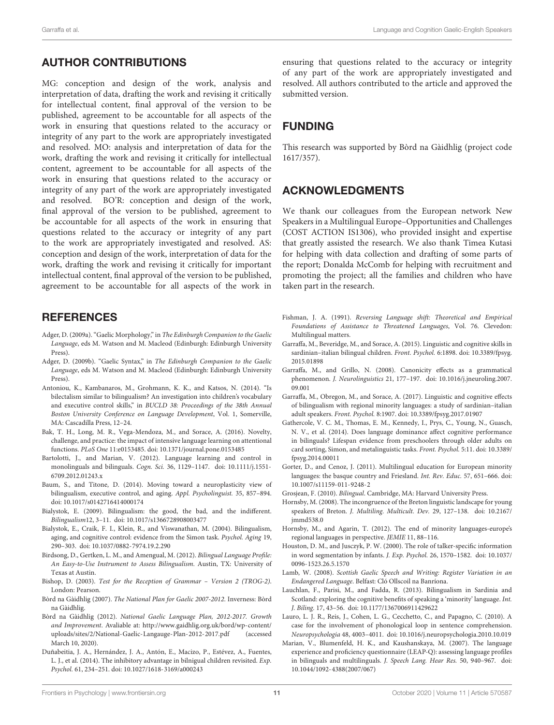# AUTHOR CONTRIBUTIONS

MG: conception and design of the work, analysis and interpretation of data, drafting the work and revising it critically for intellectual content, final approval of the version to be published, agreement to be accountable for all aspects of the work in ensuring that questions related to the accuracy or integrity of any part to the work are appropriately investigated and resolved. MO: analysis and interpretation of data for the work, drafting the work and revising it critically for intellectual content, agreement to be accountable for all aspects of the work in ensuring that questions related to the accuracy or integrity of any part of the work are appropriately investigated and resolved. BO'R: conception and design of the work, final approval of the version to be published, agreement to be accountable for all aspects of the work in ensuring that questions related to the accuracy or integrity of any part to the work are appropriately investigated and resolved. AS: conception and design of the work, interpretation of data for the work, drafting the work and revising it critically for important intellectual content, final approval of the version to be published, agreement to be accountable for all aspects of the work in

# **REFERENCES**

- <span id="page-10-9"></span>Adger, D. (2009a). "Gaelic Morphology," in The Edinburgh Companion to the Gaelic Language, eds M. Watson and M. Macleod (Edinburgh: Edinburgh University Press).
- <span id="page-10-10"></span>Adger, D. (2009b). "Gaelic Syntax," in The Edinburgh Companion to the Gaelic Language, eds M. Watson and M. Macleod (Edinburgh: Edinburgh University Press).
- <span id="page-10-16"></span>Antoniou, K., Kambanaros, M., Grohmann, K. K., and Katsos, N. (2014). "Is bilectalism similar to bilingualism? An investigation into children's vocabulary and executive control skills," in BUCLD 38: Proceedings of the 38th Annual Boston University Conference on Language Development, Vol. 1, Somerville, MA: Cascadilla Press, 12–24.
- <span id="page-10-23"></span>Bak, T. H., Long, M. R., Vega-Mendoza, M., and Sorace, A. (2016). Novelty, challenge, and practice: the impact of intensive language learning on attentional functions. PLoS One 11:e0153485. [doi: 10.1371/journal.pone.0153485](https://doi.org/10.1371/journal.pone.0153485)
- <span id="page-10-13"></span>Bartolotti, J., and Marian, V. (2012). Language learning and control in monolinguals and bilinguals. Cogn. Sci. 36, 1129–1147. [doi: 10.1111/j.1551-](https://doi.org/10.1111/j.1551-6709.2012.01243.x) [6709.2012.01243.x](https://doi.org/10.1111/j.1551-6709.2012.01243.x)
- <span id="page-10-12"></span>Baum, S., and Titone, D. (2014). Moving toward a neuroplasticity view of bilingualism, executive control, and aging. Appl. Psycholinguist. 35, 857–894. [doi: 10.1017/s0142716414000174](https://doi.org/10.1017/s0142716414000174)
- <span id="page-10-11"></span>Bialystok, E. (2009). Bilingualism: the good, the bad, and the indifferent. Bilingualism12, 3–11. [doi: 10.1017/s1366728908003477](https://doi.org/10.1017/s1366728908003477)
- <span id="page-10-24"></span>Bialystok, E., Craik, F. I., Klein, R., and Viswanathan, M. (2004). Bilingualism, aging, and cognitive control: evidence from the Simon task. Psychol. Aging 19, 290–303. [doi: 10.1037/0882-7974.19.2.290](https://doi.org/10.1037/0882-7974.19.2.290)
- <span id="page-10-20"></span>Birdsong, D., Gertken, L. M., and Amengual, M. (2012). Bilingual Language Profile: An Easy-to-Use Instrument to Assess Bilingualism. Austin, TX: University of Texas at Austin.
- <span id="page-10-22"></span>Bishop, D. (2003). Test for the Reception of Grammar – Version 2 (TROG-2). London: Pearson.
- <span id="page-10-5"></span>Bòrd na Gàidhlig (2007). The National Plan for Gaelic 2007-2012. Inverness: Bòrd na Gàidhlig.
- <span id="page-10-6"></span>Bòrd na Gàidhlig (2012). National Gaelic Language Plan, 2012-2017. Growth and Improvement. Avaliable at: [http://www.gaidhlig.org.uk/bord/wp-content/](http://www.gaidhlig. org. uk/bord/wp-content/uploads/sites/2/National-Gaelic-Langauge-Plan-2012-2017. pdf) [uploads/sites/2/National-Gaelic-Langauge-Plan-2012-2017.pdf](http://www.gaidhlig. org. uk/bord/wp-content/uploads/sites/2/National-Gaelic-Langauge-Plan-2012-2017. pdf) (accessed March 10, 2020).
- <span id="page-10-15"></span>Duñabeitia, J. A., Hernández, J. A., Antón, E., Macizo, P., Estévez, A., Fuentes, L. J., et al. (2014). The inhibitory advantage in bilnigual children revisited. Exp. Psychol. 61, 234–251. [doi: 10.1027/1618-3169/a000243](https://doi.org/10.1027/1618-3169/a000243)

ensuring that questions related to the accuracy or integrity of any part of the work are appropriately investigated and resolved. All authors contributed to the article and approved the submitted version.

# FUNDING

This research was supported by Bòrd na Gàidhlig (project code 1617/357).

# ACKNOWLEDGMENTS

We thank our colleagues from the European network New Speakers in a Multilingual Europe–Opportunities and Challenges (COST ACTION IS1306), who provided insight and expertise that greatly assisted the research. We also thank Timea Kutasi for helping with data collection and drafting of some parts of the report; Donalda McComb for helping with recruitment and promoting the project; all the families and children who have taken part in the research.

- <span id="page-10-1"></span>Fishman, J. A. (1991). Reversing Language shift: Theoretical and Empirical Foundations of Assistance to Threatened Languages, Vol. 76. Clevedon: Multilingual matters.
- <span id="page-10-4"></span>Garraffa, M., Beveridge, M., and Sorace, A. (2015). Linguistic and cognitive skills in sardinian–italian bilingual children. Front. Psychol. 6:1898. [doi: 10.3389/fpsyg.](https://doi.org/10.3389/fpsyg.2015.01898) [2015.01898](https://doi.org/10.3389/fpsyg.2015.01898)
- <span id="page-10-26"></span>Garraffa, M., and Grillo, N. (2008). Canonicity effects as a grammatical phenomenon. J. Neurolinguistics 21, 177–197. [doi: 10.1016/j.jneuroling.2007.](https://doi.org/10.1016/j.jneuroling.2007.09.001) [09.001](https://doi.org/10.1016/j.jneuroling.2007.09.001)
- <span id="page-10-18"></span>Garraffa, M., Obregon, M., and Sorace, A. (2017). Linguistic and cognitive effects of bilingualism with regional minority languages: a study of sardinian–italian adult speakers. Front. Psychol. 8:1907. [doi: 10.3389/fpsyg.2017.01907](https://doi.org/10.3389/fpsyg.2017.01907)
- <span id="page-10-14"></span>Gathercole, V. C. M., Thomas, E. M., Kennedy, I., Prys, C., Young, N., Guasch, N. V., et al. (2014). Does language dominance affect cognitive performance in bilinguals? Lifespan evidence from preschoolers through older adults on card sorting, Simon, and metalinguistic tasks. Front. Psychol. 5:11. [doi: 10.3389/](https://doi.org/10.3389/fpsyg.2014.00011) [fpsyg.2014.00011](https://doi.org/10.3389/fpsyg.2014.00011)
- <span id="page-10-2"></span>Gorter, D., and Cenoz, J. (2011). Multilingual education for European minority languages: the basque country and Friesland. Int. Rev. Educ. 57, 651–666. [doi:](https://doi.org/10.1007/s11159-011-9248-2) [10.1007/s11159-011-9248-2](https://doi.org/10.1007/s11159-011-9248-2)

<span id="page-10-0"></span>Grosjean, F. (2010). Bilingual. Cambridge, MA: Harvard University Press.

- <span id="page-10-19"></span>Hornsby, M. (2008). The incongruence of the Breton linguistic landscape for young speakers of Breton. J. Multiling. Multicult. Dev. 29, 127-138. [doi: 10.2167/](https://doi.org/10.2167/jmmd538.0) [jmmd538.0](https://doi.org/10.2167/jmmd538.0)
- <span id="page-10-3"></span>Hornsby, M., and Agarin, T. (2012). The end of minority languages-europe's regional languages in perspective. JEMIE 11, 88–116.
- <span id="page-10-7"></span>Houston, D. M., and Jusczyk, P. W. (2000). The role of talker-specific information in word segmentation by infants. J. Exp. Psychol. 26, 1570–1582. [doi: 10.1037/](https://doi.org/10.1037/0096-1523.26.5.1570) [0096-1523.26.5.1570](https://doi.org/10.1037/0096-1523.26.5.1570)
- <span id="page-10-8"></span>Lamb, W. (2008). Scottish Gaelic Speech and Writing: Register Variation in an Endangered Language. Belfast: Cló Ollscoil na Banríona.
- <span id="page-10-17"></span>Lauchlan, F., Parisi, M., and Fadda, R. (2013). Bilingualism in Sardinia and Scotland: exploring the cognitive benefits of speaking a 'minority' language. Int. J. Biling. 17, 43–56. [doi: 10.1177/1367006911429622](https://doi.org/10.1177/1367006911429622)
- <span id="page-10-25"></span>Lauro, L. J. R., Reis, J., Cohen, L. G., Cecchetto, C., and Papagno, C. (2010). A case for the involvement of phonological loop in sentence comprehension. Neuropsychologia 48, 4003–4011. [doi: 10.1016/j.neuropsychologia.2010.10.019](https://doi.org/10.1016/j.neuropsychologia.2010.10.019)
- <span id="page-10-21"></span>Marian, V., Blumenfeld, H. K., and Kaushanskaya, M. (2007). The language experience and proficiency questionnaire (LEAP-Q): assessing language profiles in bilinguals and multilinguals. J. Speech Lang. Hear Res. 50, 940–967. [doi:](https://doi.org/10.1044/1092-4388(2007/067)) [10.1044/1092-4388\(2007/067\)](https://doi.org/10.1044/1092-4388(2007/067))